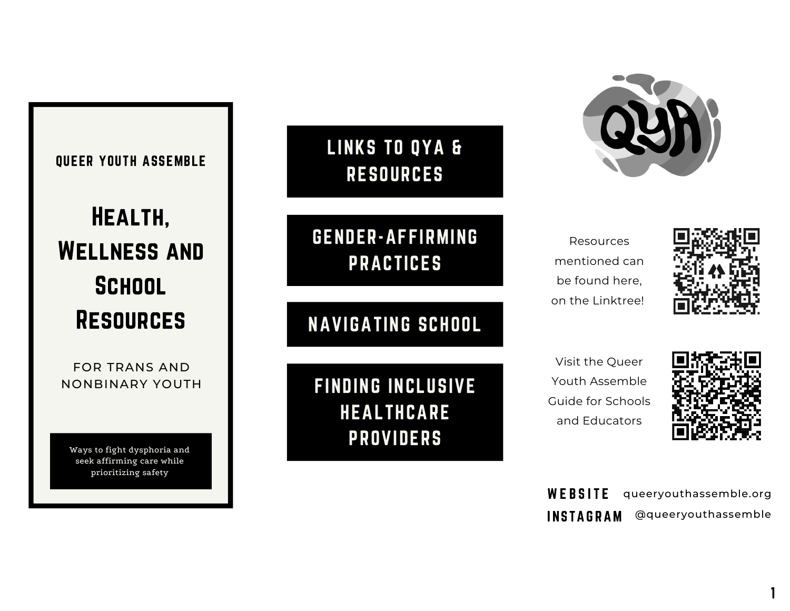### QUEER YOUTH ASSEMBLE

# Health, Wellness and **SCHOOL RESOURCES**

FOR TRANS AND NONBINARY YOUTH

Ways to fight dysphoria and seek affirming care while prioritizing safety

# LINKS TO QYA & RESOURCES

# GENDER-AFFIRMING PRACTICES

NAVIGATING SCHOOL

FINDING INCLUSIVE HEALTHCARE PROVIDERS



Resources mentioned can be found here, on the Linktree!



Visit the Queer Youth Assemble Guide for Schools and Educators



**WEBSITE INSTAGRAM** queeryouthassemble.org @queeryouthassemble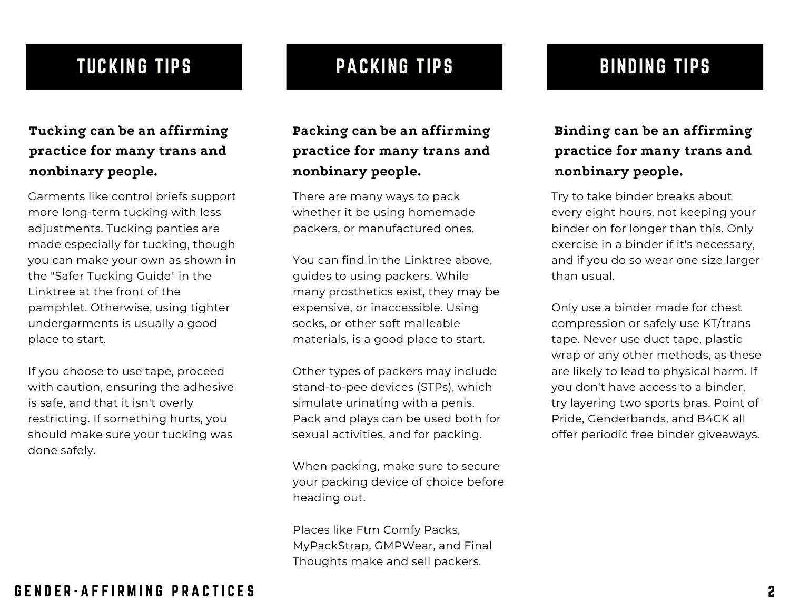# TUCKING TIPS

### **Tucking can be an affirming practice for many trans and nonbinary people.**

Garments like control briefs support more long-term tucking with less adjustments. Tucking panties are made especially for tucking, though you can make your own as shown in the "Safer Tucking Guide" in the Linktree at the front of the pamphlet. Otherwise, using tighter undergarments is usually a good place to start.

If you choose to use tape, proceed with caution, ensuring the adhesive is safe, and that it isn't overly restricting. If something hurts, you should make sure your tucking was done safely.

# PACKING TIPS BINDING TIPS

**Packing can be an affirming practice for many trans and nonbinary people.**

There are many ways to pack whether it be using homemade packers, or manufactured ones.

You can find in the Linktree above, guides to using packers. While many prosthetics exist, they may be expensive, or inaccessible. Using socks, or other soft malleable materials, is a good place to start.

Other types of packers may include stand-to-pee devices (STPs), which simulate urinating with a penis. Pack and plays can be used both for sexual activities, and for packing.

When packing, make sure to secure your packing device of choice before heading out.

Places like Ftm Comfy Packs, MyPackStrap, GMPWear, and Final Thoughts make and sell packers.

### **Binding can be an affirming practice for many trans and nonbinary people.**

Try to take binder breaks about every eight hours, not keeping your binder on for longer than this. Only exercise in a binder if it's necessary, and if you do so wear one size larger than usual.

Only use a binder made for chest compression or safely use KT/trans tape. Never use duct tape, plastic wrap or any other methods, as these are likely to lead to physical harm. If you don't have access to a binder, try layering two sports bras. Point of Pride, Genderbands, and B4CK all offer periodic free binder giveaways.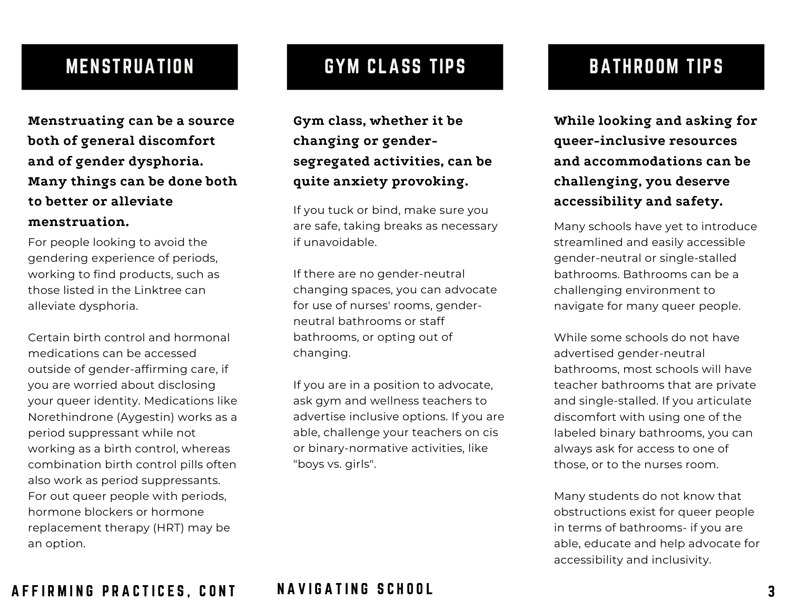## MENSTRUATION

**Menstruating can be a source both of general discomfort and of gender dysphoria. Many things can be done both to better or alleviate menstruation.**

For people looking to avoid the gendering experience of periods, working to find products, such as those listed in the Linktree can alleviate dysphoria.

Certain birth control and hormonal medications can be accessed outside of gender-affirming care, if you are worried about disclosing your queer identity. Medications like Norethindrone (Aygestin) works as a period suppressant while not working as a birth control, whereas combination birth control pills often also work as period suppressants. For out queer people with periods, hormone blockers or hormone replacement therapy (HRT) may be an option.

# GYM CLASS TIPS **BATHROOM TIPS**

**Gym class, whether it be changing or gendersegregated activities, can be quite anxiety provoking.**

If you tuck or bind, make sure you are safe, taking breaks as necessary if unavoidable.

If there are no gender-neutral changing spaces, you can advocate for use of nurses' rooms, genderneutral bathrooms or staff bathrooms, or opting out of changing.

If you are in a position to advocate, ask gym and wellness teachers to advertise inclusive options. If you are able, challenge your teachers on cis or binary-normative activities, like "boys vs. girls".

**While looking and asking for queer-inclusive resources and accommodations can be challenging, you deserve accessibility and safety.**

Many schools have yet to introduce streamlined and easily accessible gender-neutral or single-stalled bathrooms. Bathrooms can be a challenging environment to navigate for many queer people.

While some schools do not have advertised gender-neutral bathrooms, most schools will have teacher bathrooms that are private and single-stalled. If you articulate discomfort with using one of the labeled binary bathrooms, you can always ask for access to one of those, or to the nurses room.

Many students do not know that obstructions exist for queer people in terms of bathrooms- if you are able, educate and help advocate for accessibility and inclusivity.

### A F F I R M I N G P R A C T I C E S . C O N T